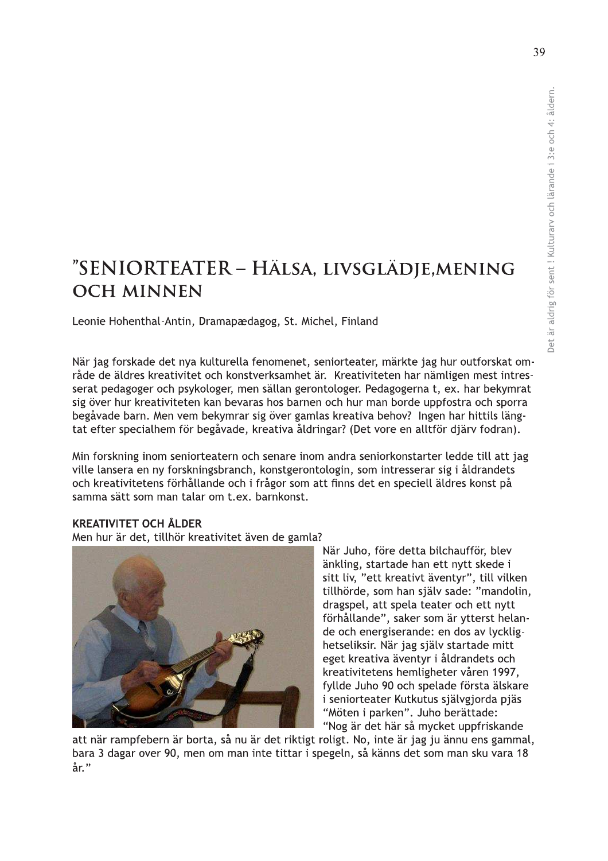# "SENIORTEATER – HÄLSA, LIVSGLÄDJE,MENING **OCH MINNEN**

Leonie Hohenthal-Antin, Dramapædagog, St. Michel, Finland

När jag forskade det nya kulturella fenomenet, seniorteater, märkte jag hur outforskat område de äldres kreativitet och konstverksamhet är. Kreativiteten har nämligen mest intresserat pedagoger och psykologer, men sällan gerontologer. Pedagogerna t, ex. har bekymrat sig över hur kreativiteten kan bevaras hos barnen och hur man borde uppfostra och sporra begåvade barn. Men vem bekymrar sig över gamlas kreativa behov? Ingen har hittils längtat efter specialhem för begåvade, kreativa åldringar? (Det vore en alltför djärv fodran).

Min forskning inom seniorteatern och senare inom andra seniorkonstarter ledde till att jag ville lansera en ny forskningsbranch, konstgerontologin, som intresserar sig i åldrandets och kreativitetens förhållande och i frågor som att finns det en speciell äldres konst på samma sätt som man talar om t.ex. barnkonst.

#### **KREATIVITET OCH ÅLDER**

Men hur är det, tillhör kreativitet även de gamla?



När Juho, före detta bilchaufför, blev änkling, startade han ett nytt skede i sitt liv, "ett kreativt äventyr", till vilken tillhörde, som han själv sade: "mandolin, dragspel, att spela teater och ett nytt förhållande", saker som är ytterst helande och energiserande: en dos av lycklighetseliksir. När jag själv startade mitt eget kreativa äventyr i åldrandets och kreativitetens hemligheter våren 1997, fyllde Juho 90 och spelade första älskare i seniorteater Kutkutus självgjorda pjäs "Möten i parken". Juho berättade: "Nog är det här så mycket uppfriskande

att när rampfebern är borta, så nu är det riktigt roligt. No, inte är jag ju ännu ens gammal, bara 3 dagar over 90, men om man inte tittar i spegeln, så känns det som man sku vara 18 år."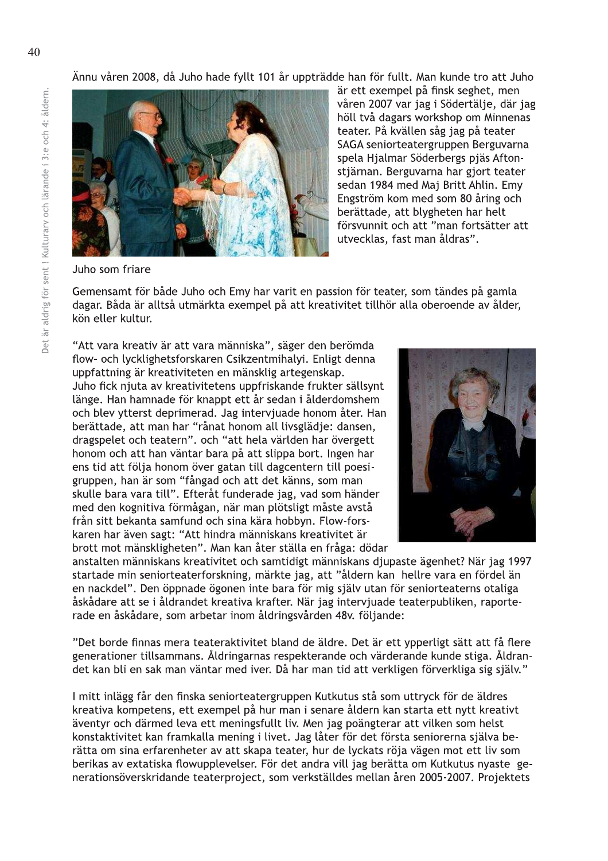Ännu våren 2008, då Juho hade fyllt 101 år uppträdde han för fullt. Man kunde tro att Juho



är ett exempel på finsk seghet, men våren 2007 var jag i Södertälje, där jag höll två dagars workshop om Minnenas teater. På kvällen såg jag på teater SAGA seniorteatergruppen Berguvarna spela Hjalmar Söderbergs pjäs Aftonstjärnan. Berguvarna har gjort teater sedan 1984 med Maj Britt Ahlin. Emv Engström kom med som 80 åring och berättade, att blygheten har helt försvunnit och att "man fortsätter att utvecklas, fast man åldras".

Juho som friare

Gemensamt för både Juho och Emy har varit en passion för teater, som tändes på gamla dagar. Båda är alltså utmärkta exempel på att kreativitet tillhör alla oberoende av ålder, kön eller kultur.

"Att vara kreativ är att vara människa", säger den berömda flow- och lycklighetsforskaren Csikzentmihalyi. Enligt denna uppfattning är kreativiteten en mänsklig artegenskap. Juho fick njuta av kreativitetens uppfriskande frukter sällsynt länge. Han hamnade för knappt ett år sedan i ålderdomshem och blev vtterst deprimerad. Jag interviuade honom åter. Han berättade, att man har "rånat honom all livsglädje: dansen, dragspelet och teatern". och "att hela världen har övergett honom och att han väntar bara på att slippa bort. Ingen har ens tid att följa honom över gatan till dagcentern till poesigruppen, han är som "fångad och att det känns, som man skulle bara vara till". Efteråt funderade jag, vad som händer med den kognitiva förmågan, när man plötsligt måste avstå från sitt bekanta samfund och sina kära hobbyn. Flow-forskaren har även sagt: "Att hindra människans kreativitet är brott mot mänskligheten". Man kan åter ställa en fråga: dödar



anstalten människans kreativitet och samtidigt människans djupaste ägenhet? När jag 1997 startade min seniorteaterforskning, märkte jag, att "åldern kan hellre vara en fördel än en nackdel". Den öppnade ögonen inte bara för mig själv utan för senjorteaterns otaliga åskådare att se i åldrandet kreativa krafter. När jag intervjuade teaterpubliken, raporterade en åskådare, som arbetar inom åldringsvården 48v. följande:

"Det borde finnas mera teateraktivitet bland de äldre. Det är ett ypperligt sätt att få flere generationer tillsammans. Åldringarnas respekterande och värderande kunde stiga. Åldrandet kan bli en sak man väntar med iver. Då har man tid att verkligen förverkliga sig själv."

I mitt inlägg får den finska seniorteatergruppen Kutkutus stå som uttryck för de äldres kreativa kompetens, ett exempel på hur man i senare åldern kan starta ett nytt kreativt äventyr och därmed leva ett meningsfullt liv. Men jag poängterar att vilken som helst konstaktivitet kan framkalla mening i livet. Jag låter för det första seniorerna själva berätta om sina erfarenheter av att skapa teater, hur de lyckats röja vägen mot ett liv som berikas av extatiska flowupplevelser. För det andra vill jag berätta om Kutkutus nyaste generationsöverskridande teaterproject, som verkställdes mellan åren 2005-2007. Projektets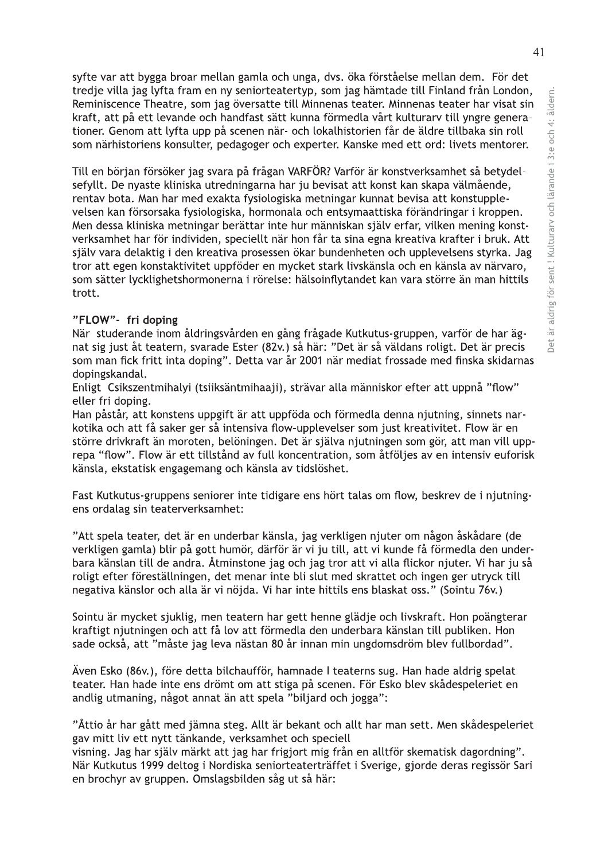syfte var att bygga broar mellan gamla och unga, dys. öka förståelse mellan dem. För det tredje villa jag lyfta fram en ny seniorteatertyp, som jag hämtade till Finland från London, Reminiscence Theatre, som jag översatte till Minnenas teater. Minnenas teater har visat sin kraft, att på ett levande och handfast sätt kunna förmedla vårt kulturary till yngre generationer. Genom att lyfta upp på scenen när- och lokalhistorien får de äldre tillbaka sin roll som närhistoriens konsulter, pedagoger och experter. Kanske med ett ord: livets mentorer.

Till en början försöker jag svara på frågan VARFÖR? Varför är konstverksamhet så betydelsefyllt. De nyaste kliniska utredningarna har ju bevisat att konst kan skapa välmående, rentav bota. Man har med exakta fysiologiska metningar kunnat bevisa att konstupplevelsen kan försorsaka fysiologiska, hormonala och entsymaattiska förändringar i kroppen. Men dessa kliniska metningar berättar inte hur människan själv erfar, vilken mening konstverksamhet har för individen, speciellt när hon får ta sina egna kreativa krafter i bruk. Att själv vara delaktig i den kreativa prosessen ökar bundenheten och upplevelsens styrka. Jag tror att egen konstaktivitet uppföder en mycket stark livskänsla och en känsla av närvaro, som sätter lycklighetshormonerna i rörelse: hälsoinflytandet kan vara större än man hittils trott.

#### "FLOW"- fri doping

När studerande inom åldringsvården en gång frågade Kutkutus-gruppen, varför de har ägnat sig just åt teatern, svarade Ester (82v.) så här: "Det är så väldans roligt. Det är precis som man fick fritt inta doping". Detta var år 2001 när mediat frossade med finska skidarnas dopingskandal.

Enligt Csikszentmihalyi (tsiiksäntmihaaji), strävar alla människor efter att uppnå "flow" eller fri doping.

Han påstår, att konstens uppgift är att uppföda och förmedla denna njutning, sinnets narkotika och att få saker ger så intensiva flow-upplevelser som just kreativitet. Flow är en större drivkraft än moroten, belöningen. Det är själva njutningen som gör, att man vill upprepa "flow". Flow är ett tillstånd av full koncentration, som åtföljes av en intensiv euforisk känsla, ekstatisk engagemang och känsla av tidslöshet.

Fast Kutkutus-gruppens seniorer inte tidigare ens hört talas om flow, beskrev de i njutningens ordalag sin teaterverksamhet:

"Att spela teater, det är en underbar känsla, jag verkligen njuter om någon åskådare (de verkligen gamla) blir på gott humör, därför är vi ju till, att vi kunde få förmedla den underbara känslan till de andra. Åtminstone jag och jag tror att vi alla flickor njuter. Vi har ju så roligt efter föreställningen, det menar inte bli slut med skrattet och ingen ger utryck till negativa känslor och alla är vi nöjda. Vi har inte hittils ens blaskat oss." (Sointu 76v.)

Sointu är mycket sjuklig, men teatern har gett henne glädje och livskraft. Hon poängterar kraftigt njutningen och att få lov att förmedla den underbara känslan till publiken. Hon sade också, att "måste jag leva nästan 80 år innan min ungdomsdröm blev fullbordad".

Även Esko (86v.), före detta bilchaufför, hamnade I teaterns sug. Han hade aldrig spelat teater. Han hade inte ens drömt om att stiga på scenen. För Esko blev skådespeleriet en andlig utmaning, något annat än att spela "biljard och jogga":

"Åttio år har gått med jämna steg. Allt är bekant och allt har man sett. Men skådespeleriet gav mitt liv ett nytt tänkande, verksamhet och speciell

visning. Jag har själv märkt att jag har frigjort mig från en alltför skematisk dagordning". När Kutkutus 1999 deltog i Nordiska seniorteaterträffet i Sverige, gjorde deras regissör Sari en brochyr av gruppen. Omslagsbilden såg ut så här: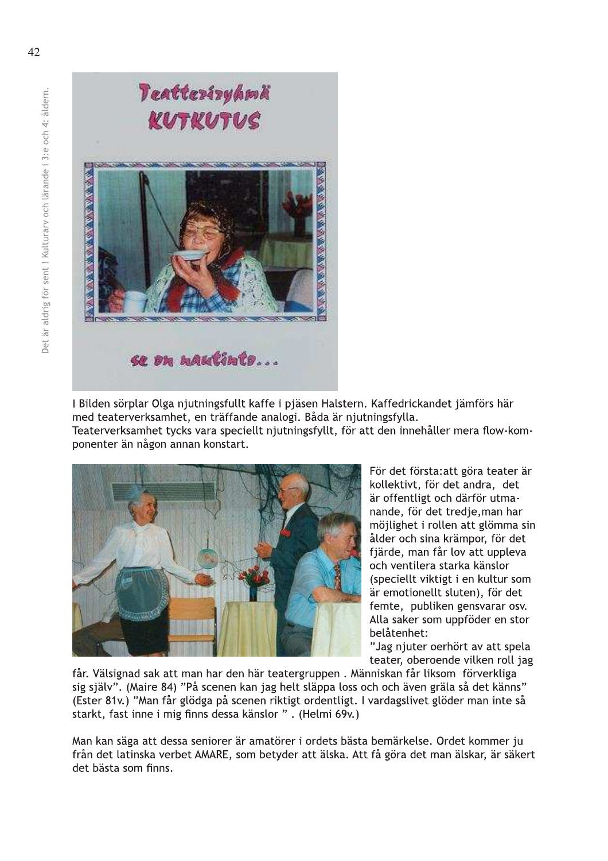

I Bilden sörplar Olga njutningsfullt kaffe i pjäsen Halstern. Kaffedrickandet jämförs här med teaterverksamhet, en träffande analogi. Båda är njutningsfylla. Teaterverksamhet tycks vara speciellt njutningsfyllt, för att den innehåller mera flow-kom-



ponenter än någon annan konstart.

För det första: att göra teater är kollektivt, för det andra, det är offentligt och därför utmanande, för det tredje, man har möjlighet i rollen att glömma sin ålder och sina krämpor, för det fjärde, man får lov att uppleva och ventilera starka känslor (speciellt viktigt i en kultur som är emotionellt sluten), för det femte, publiken gensvarar osv. Alla saker som uppföder en stor belåtenhet:

"Jag njuter oerhört av att spela teater, oberoende vilken roll jag

får. Välsignad sak att man har den här teatergruppen. Människan får liksom förverkliga sig själv". (Maire 84) "På scenen kan jag helt släppa loss och och även gräla så det känns" (Ester 81v.) "Man får glödga på scenen riktigt ordentligt. I vardagslivet glöder man inte så starkt, fast inne i mig finns dessa känslor ", (Helmi 69v.)

Man kan säga att dessa seniorer är amatörer i ordets bästa bemärkelse. Ordet kommer ju från det latinska verbet AMARE, som betyder att älska. Att få göra det man älskar, är säkert det bästa som finns.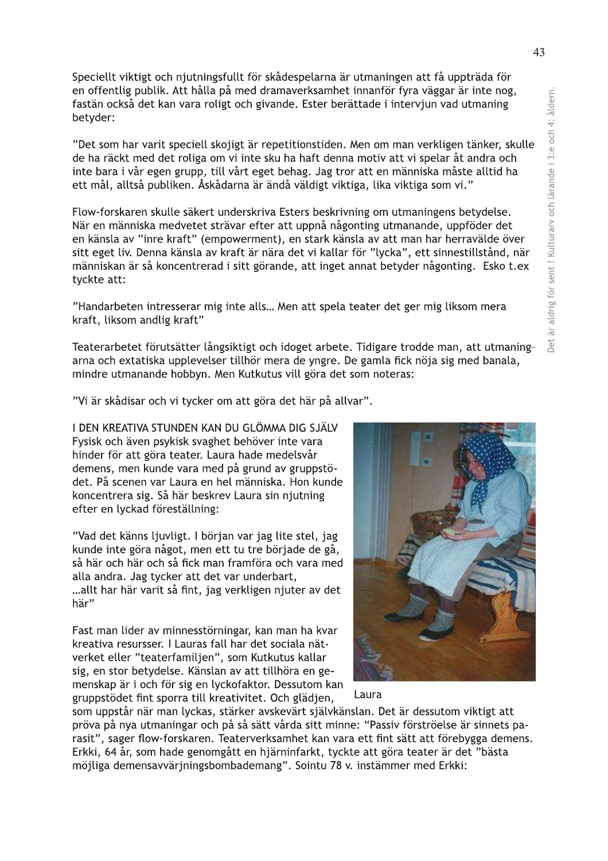Speciellt viktigt och njutningsfullt för skådespelarna är utmaningen att få uppträda för en offentlig publik. Att hålla på med dramaverksamhet innanför fyra väggar är inte nog, fastän också det kan vara roligt och givande. Ester berättade i intervjun vad utmaning betyder:

"Det som har varit speciell skojigt är repetitionstiden. Men om man verkligen tänker, skulle de ha räckt med det roliga om vi inte sku ha haft denna motiv att vi spelar åt andra och inte bara i vår egen grupp, till vårt eget behag. Jag tror att en människa måste alltid ha ett mål, alltså publiken. Åskådarna är ändå väldigt viktiga, lika viktiga som vi."

Flow-forskaren skulle säkert underskriva Esters beskrivning om utmaningens betydelse. När en människa medvetet strävar efter att uppnå någonting utmanande, uppföder det en känsla av "inre kraft" (empowerment), en stark känsla av att man har herravälde över sitt eget liv. Denna känsla av kraft är nära det vi kallar för "lycka", ett sinnestillstånd, när människan är så koncentrerad i sitt görande, att inget annat betyder någonting. Esko t.ex tyckte att:

"Handarbeten intresserar mig inte alls... Men att spela teater det ger mig liksom mera kraft, liksom andlig kraft"

Teaterarbetet förutsätter långsiktigt och idoget arbete. Tidigare trodde man, att utmaningarna och extatiska upplevelser tillhör mera de yngre. De gamla fick nöja sig med banala, mindre utmanande hobbyn. Men Kutkutus vill göra det som noteras:

"Vi är skådisar och vi tycker om att göra det här på allvar".

I DEN KREATIVA STUNDEN KAN DU GLÖMMA DIG SJÄLV Fysisk och även psykisk svaghet behöver inte vara hinder för att göra teater. Laura hade medelsvår demens, men kunde vara med på grund av gruppstödet. På scenen var Laura en hel människa. Hon kunde koncentrera sig. Så här beskrev Laura sin njutning efter en lyckad föreställning:

"Vad det känns ljuvligt. I början var jag lite stel, jag kunde inte göra något, men ett tu tre började de gå, så här och här och så fick man framföra och vara med alla andra. Jag tycker att det var underbart, ...allt har här varit så fint, jag verkligen njuter av det här"

Fast man lider av minnesstörningar, kan man ha kvar kreativa resursser. I Lauras fall har det sociala nätverket eller "teaterfamiljen", som Kutkutus kallar sig, en stor betydelse. Känslan av att tillhöra en gemenskap är i och för sig en lyckofaktor. Dessutom kan gruppstödet fint sporra till kreativitet. Och glädjen,



som uppstår när man lyckas, stärker avskevärt självkänslan. Det är dessutom viktigt att pröva på nya utmaningar och på så sätt vårda sitt minne: "Passiv förströelse är sinnets parasit", sager flow-forskaren. Teaterverksamhet kan vara ett fint sätt att förebygga demens. Erkki, 64 år, som hade genomgått en hjärninfarkt, tyckte att göra teater är det "bästa möjliga demensavvärjningsbombademang". Sointu 78 v. instämmer med Erkki: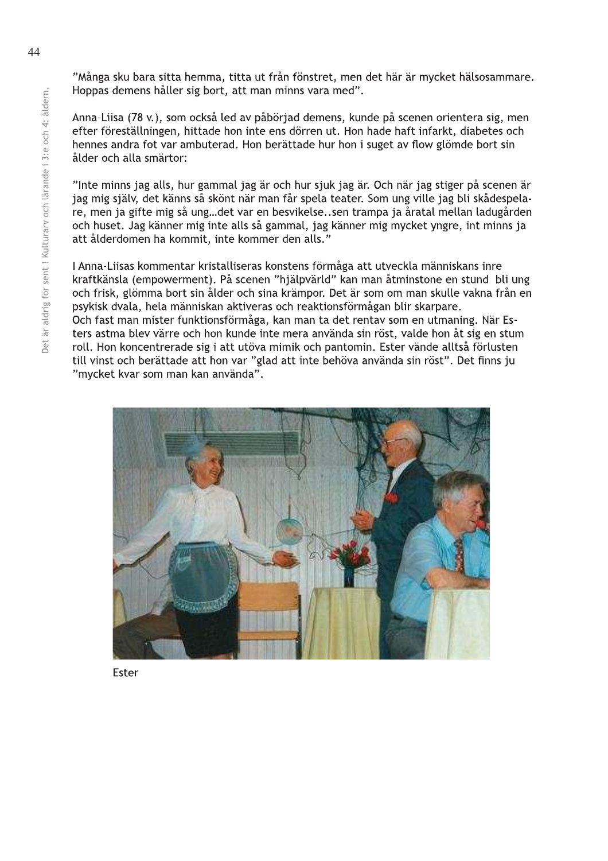"Många sku bara sitta hemma, titta ut från fönstret, men det här är mycket hälsosammare. Hoppas demens håller sig bort, att man minns vara med".

Anna-Liisa (78 v.), som också led av påbörjad demens, kunde på scenen orientera sig, men efter föreställningen, hittade hon inte ens dörren ut. Hon hade haft infarkt, diabetes och hennes andra fot var ambuterad. Hon berättade hur hon i suget av flow glömde bort sin ålder och alla smärtor:

"Inte minns jag alls, hur gammal jag är och hur sjuk jag är. Och när jag stiger på scenen är jag mig själv, det känns så skönt när man får spela teater. Som ung ville jag bli skådespelare, men ja gifte mig så ung...det var en besvikelse..sen trampa ja åratal mellan ladugården och huset. Jag känner mig inte alls så gammal, jag känner mig mycket yngre, int minns ja att ålderdomen ha kommit, inte kommer den alls."

I Anna-Liisas kommentar kristalliseras konstens förmåga att utveckla människans inre kraftkänsla (empowerment). På scenen "hjälpvärld" kan man åtminstone en stund bli ung och frisk, glömma bort sin ålder och sina krämpor. Det är som om man skulle vakna från en psykisk dvala, hela människan aktiveras och reaktionsförmågan blir skarpare. Och fast man mister funktionsförmåga, kan man ta det rentav som en utmaning. När Esters astma blev värre och hon kunde inte mera använda sin röst, valde hon åt sig en stum roll. Hon koncentrerade sig i att utöva mimik och pantomin. Ester vände alltså förlusten till vinst och berättade att hon var "glad att inte behöva använda sin röst". Det finns ju "mycket kvar som man kan använda".



Ester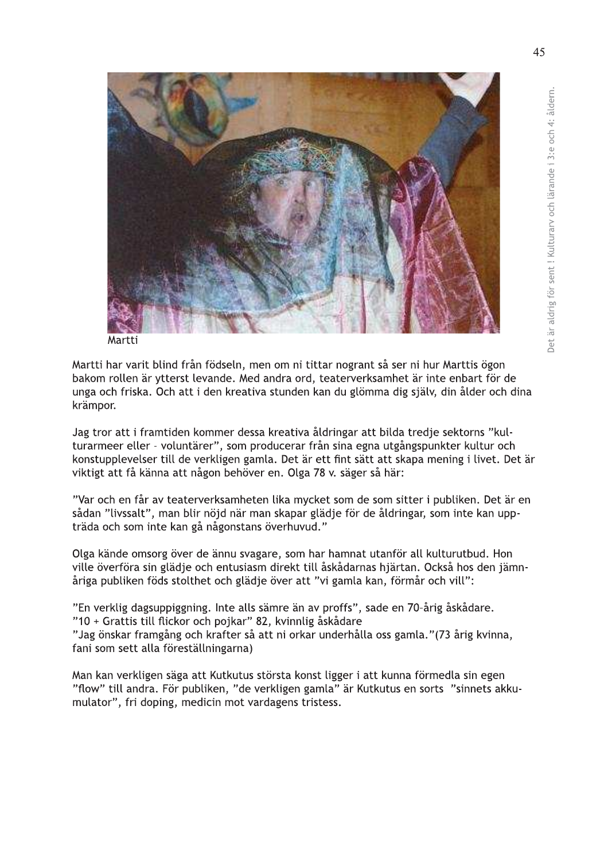

Martti

Martti har varit blind från födseln, men om ni tittar nogrant så ser ni hur Marttis ögon bakom rollen är ytterst levande. Med andra ord, teaterverksamhet är inte enbart för de unga och friska. Och att i den kreativa stunden kan du glömma dig själv, din ålder och dina krämpor.

Jag tror att i framtiden kommer dessa kreativa åldringar att bilda tredje sektorns "kulturarmeer eller - voluntärer", som producerar från sina egna utgångspunkter kultur och konstupplevelser till de verkligen gamla. Det är ett fint sätt att skapa mening i livet. Det är viktigt att få känna att någon behöver en. Olga 78 v. säger så här:

"Var och en får av teaterverksamheten lika mycket som de som sitter i publiken. Det är en sådan "livssalt", man blir nöjd när man skapar glädje för de åldringar, som inte kan uppträda och som inte kan gå någonstans överhuvud."

Olga kände omsorg över de ännu svagare, som har hamnat utanför all kulturutbud. Hon ville överföra sin glädje och entusiasm direkt till åskådarnas hjärtan. Också hos den jämnåriga publiken föds stolthet och glädje över att "vi gamla kan, förmår och vill":

"En verklig dagsuppiggning. Inte alls sämre än av proffs", sade en 70-årig åskådare. "10 + Grattis till flickor och pojkar" 82, kvinnlig åskådare

"Jag önskar framgång och krafter så att ni orkar underhålla oss gamla." (73 årig kvinna, fani som sett alla föreställningarna)

Man kan verkligen säga att Kutkutus största konst ligger i att kunna förmedla sin egen "flow" till andra. För publiken, "de verkligen gamla" är Kutkutus en sorts "sinnets akkumulator", fri doping, medicin mot vardagens tristess.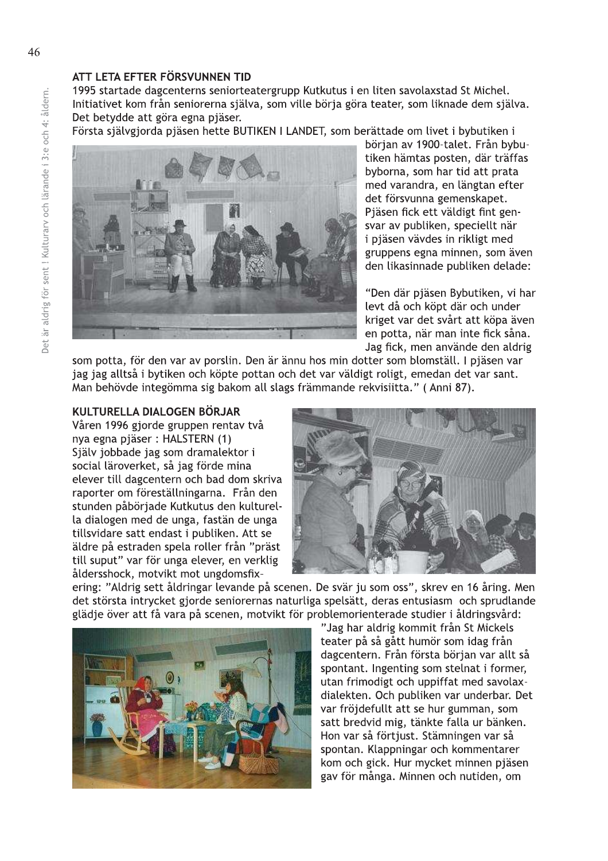### ATT LETA EFTER FÖRSVUNNEN TID

1995 startade dagcenterns seniorteatergrupp Kutkutus i en liten savolaxstad St Michel. Initiativet kom från seniorerna själva, som ville börja göra teater, som liknade dem själva. Det betydde att göra egna pjäser.

Första självgjorda pjäsen hette BUTIKEN I LANDET, som berättade om livet i bybutiken i



början av 1900-talet. Från bybutiken hämtas posten, där träffas byborna, som har tid att prata med varandra, en längtan efter det försvunna gemenskapet. Piäsen fick ett väldigt fint gensvar av publiken, speciellt när i pjäsen vävdes in rikligt med gruppens egna minnen, som även den likasinnade publiken delade:

"Den där pjäsen Bybutiken, vi har levt då och köpt där och under kriget var det svårt att köpa även en potta, när man inte fick såna. Jag fick, men använde den aldrig

som potta, för den var av porslin. Den är ännu hos min dotter som blomställ. I pjäsen var jag jag alltså i bytiken och köpte pottan och det var väldigt roligt, emedan det var sant. Man behövde integömma sig bakom all slags främmande rekvisiitta." (Anni 87).

#### KULTURELLA DIALOGEN BÖRJAR

Våren 1996 gjorde gruppen rentav två nya egna pjäser: HALSTERN (1) Själv jobbade jag som dramalektor i social läroverket, så jag förde mina elever till dagcentern och bad dom skriva raporter om föreställningarna. Från den stunden påbörjade Kutkutus den kulturella dialogen med de unga, fastän de unga tillsvidare satt endast i publiken. Att se äldre på estraden spela roller från "präst till suput" var för unga elever, en verklig åldersshock, motvikt mot ungdomsfix-



ering: "Aldrig sett åldringar levande på scenen. De svär ju som oss", skrev en 16 åring. Men det största intrycket gjorde seniorernas naturliga spelsätt, deras entusiasm och sprudlande glädje över att få vara på scenen, motvikt för problemorienterade studier i åldringsvård:



"Jag har aldrig kommit från St Mickels teater på så gått humör som idag från dagcentern. Från första början var allt så spontant. Ingenting som stelnat i former. utan frimodigt och uppiffat med savolaxdialekten. Och publiken var underbar. Det var fröjdefullt att se hur gumman, som satt bredvid mig, tänkte falla ur bänken. Hon var så förtjust. Stämningen var så spontan. Klappningar och kommentarer kom och gick. Hur mycket minnen pjäsen gav för många. Minnen och nutiden, om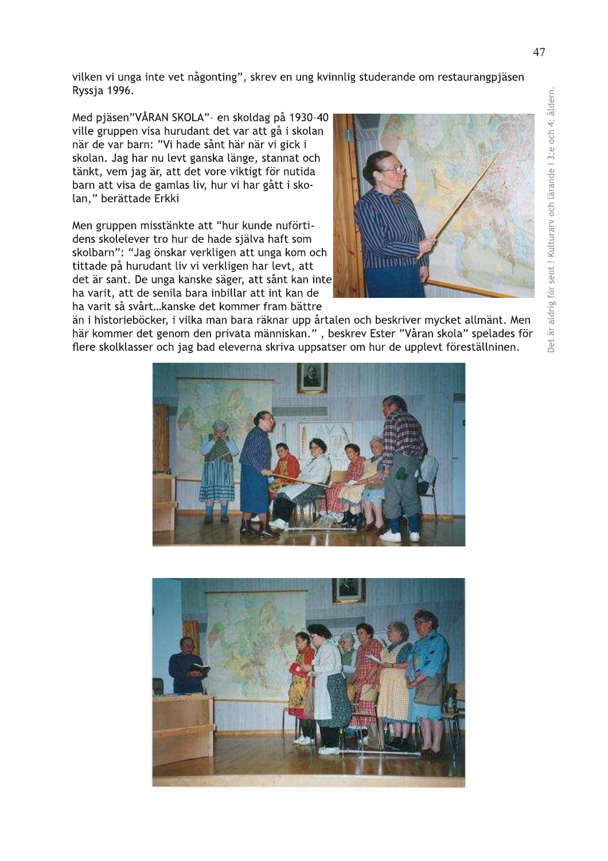vilken vi unga inte vet någonting", skrev en ung kvinnlig studerande om restaurangpjäsen Ryssja 1996.

Med pjäsen"VÅRAN SKOLA"- en skoldag på 1930-40 ville gruppen visa hurudant det var att gå i skolan när de var barn: "Vi hade sånt här när vi gick i skolan. Jag har nu levt ganska länge, stannat och tänkt, vem jag är, att det vore viktigt för nutida barn att visa de gamlas liv, hur vi har gått i skolan," berättade Erkki

Men gruppen misstänkte att "hur kunde nuförtidens skolelever tro hur de hade själva haft som skolbarn": "Jag önskar verkligen att unga kom och tittade på hurudant liv vi verkligen har levt, att det är sant. De unga kanske säger, att sånt kan inte ha varit, att de senila bara inbillar att int kan de ha varit så svårt...kanske det kommer fram bättre



än i historieböcker, i vilka man bara räknar upp årtalen och beskriver mycket allmänt. Men här kommer det genom den privata människan.", beskrev Ester "Våran skola" spelades för flere skolklasser och jag bad eleverna skriva uppsatser om hur de upplevt föreställninen.



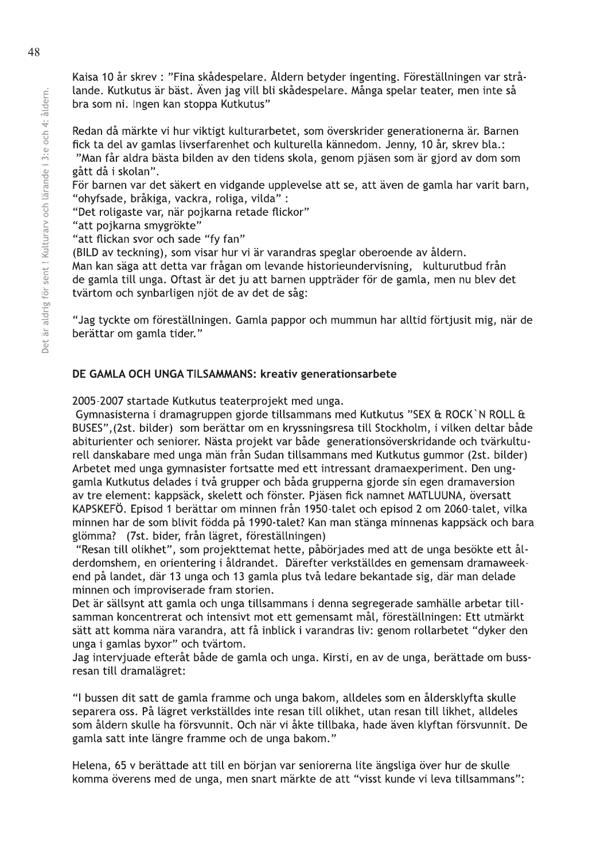Kaisa 10 år skrev : "Fina skådespelare. Åldern betyder ingenting. Föreställningen var strålande. Kutkutus är bäst. Även jag vill bli skådespelare. Många spelar teater, men inte så bra som ni. Ingen kan stoppa Kutkutus"

Redan då märkte vi hur viktigt kulturarbetet, som överskrider generationerna är. Barnen fick ta del av gamlas livserfarenhet och kulturella kännedom. Jenny, 10 år, skrev bla.: "Man får aldra bästa bilden av den tidens skola, genom pjäsen som är gjord av dom som

gått då i skolan". För barnen var det säkert en vidgande upplevelse att se, att även de gamla har varit barn,

"ohyfsade, bråkiga, vackra, roliga, vilda":

"Det roligaste var, när pojkarna retade flickor"

"att pojkarna smygrökte"

"att flickan svor och sade "fy fan"

(BILD av teckning), som visar hur vi är varandras speglar oberoende av åldern.

Man kan säga att detta var frågan om levande historieundervisning, kulturutbud från de gamla till unga. Oftast är det ju att barnen uppträder för de gamla, men nu blev det tvärtom och synbarligen njöt de av det de såg:

"Jag tyckte om föreställningen. Gamla pappor och mummun har alltid förtjusit mig, när de berättar om gamla tider."

# DE GAMLA OCH UNGA TILSAMMANS: kreativ generationsarbete

2005-2007 startade Kutkutus teaterprojekt med unga.

Gymnasisterna i dramagruppen gjorde tillsammans med Kutkutus "SEX & ROCK`N ROLL & BUSES", (2st. bilder) som berättar om en kryssningsresa till Stockholm, i vilken deltar både abiturienter och seniorer. Nästa projekt var både generationsöverskridande och tvärkulturell danskabare med unga män från Sudan tillsammans med Kutkutus gummor (2st. bilder) Arbetet med unga gymnasister fortsatte med ett intressant dramaexperiment. Den unggamla Kutkutus delades i två grupper och båda grupperna gjorde sin egen dramaversion av tre element: kappsäck, skelett och fönster. Pjäsen fick namnet MATLUUNA, översatt KAPSKEFÖ. Episod 1 berättar om minnen från 1950-talet och episod 2 om 2060-talet, vilka minnen har de som blivit födda på 1990-talet? Kan man stänga minnenas kappsäck och bara glömma? (7st. bider, från lägret, föreställningen)

"Resan till olikhet", som projekttemat hette, påbörjades med att de unga besökte ett ålderdomshem, en orientering i åldrandet. Därefter verkställdes en gemensam dramaweekend på landet, där 13 unga och 13 gamla plus två ledare bekantade sig, där man delade minnen och improviserade fram storien.

Det är sällsynt att gamla och unga tillsammans i denna segregerade samhälle arbetar tillsamman koncentrerat och intensivt mot ett gemensamt mål, föreställningen: Ett utmärkt sätt att komma nära varandra, att få inblick i varandras liv: genom rollarbetet "dyker den unga i gamlas byxor" och tvärtom.

Jag intervjuade efteråt både de gamla och unga. Kirsti, en av de unga, berättade om bussresan till dramalägret:

"I bussen dit satt de gamla framme och unga bakom, alldeles som en åldersklyfta skulle separera oss. På lägret verkställdes inte resan till olikhet, utan resan till likhet, alldeles som åldern skulle ha försvunnit. Och när vi åkte tillbaka, hade även klyftan försvunnit. De gamla satt inte längre framme och de unga bakom."

Helena, 65 v berättade att till en början var seniorerna lite ängsliga över hur de skulle komma överens med de unga, men snart märkte de att "visst kunde vi leva tillsammans":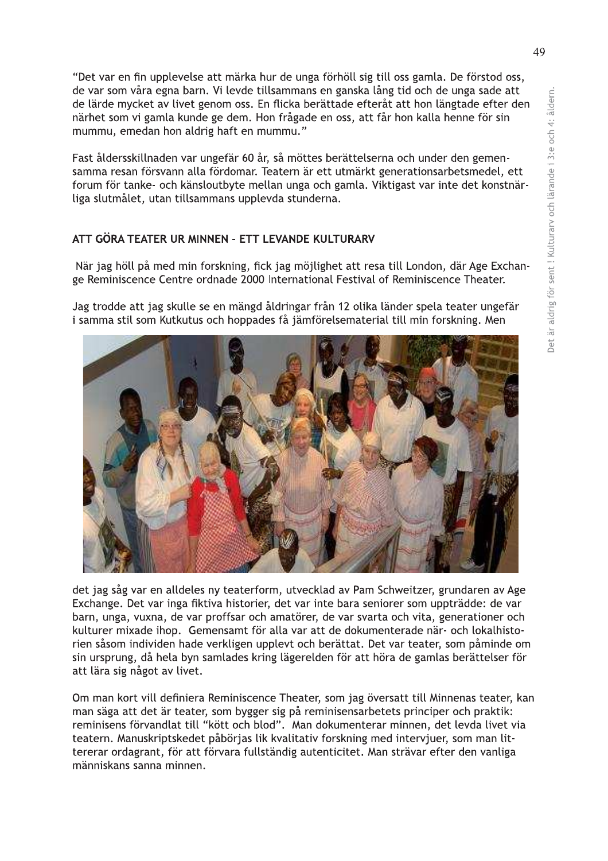"Det var en fin upplevelse att märka hur de unga förhöll sig till oss gamla. De förstod oss, de var som våra egna barn. Vi levde tillsammans en ganska lång tid och de unga sade att de lärde mycket av livet genom oss. En flicka berättade efteråt att hon längtade efter den närhet som vi gamla kunde ge dem. Hon frågade en oss, att får hon kalla henne för sin mummu, emedan hon aldrig haft en mummu."

Fast åldersskillnaden var ungefär 60 år, så möttes berättelserna och under den gemensamma resan försvann alla fördomar. Teatern är ett utmärkt generationsarbetsmedel, ett forum för tanke- och känsloutbyte mellan unga och gamla. Viktigast var inte det konstnärliga slutmålet, utan tillsammans upplevda stunderna.

#### ATT GÖRA TEATER UR MINNEN - ETT LEVANDE KULTURARV

När jag höll på med min forskning, fick jag möjlighet att resa till London, där Age Exchange Reminiscence Centre ordnade 2000 International Festival of Reminiscence Theater.

Jag trodde att jag skulle se en mängd åldringar från 12 olika länder spela teater ungefär i samma stil som Kutkutus och hoppades få jämförelsematerial till min forskning. Men



Exchange. Det var inga fiktiva historier, det var inte bara seniorer som uppträdde: de var barn, unga, vuxna, de var proffsar och amatörer, de var svarta och vita, generationer och kulturer mixade ihop. Gemensamt för alla var att de dokumenterade när- och lokalhistorien såsom individen hade verkligen upplevt och berättat. Det var teater, som påminde om sin ursprung, då hela byn samlades kring lägerelden för att höra de gamlas berättelser för att lära sig något av livet.

Om man kort vill definiera Reminiscence Theater, som jag översatt till Minnenas teater, kan man säga att det är teater, som bygger sig på reminisensarbetets principer och praktik: reminisens förvandlat till "kött och blod". Man dokumenterar minnen, det levda livet via teatern. Manuskriptskedet påbörjas lik kvalitativ forskning med intervjuer, som man littererar ordagrant, för att förvara fullständig autenticitet. Man strävar efter den vanliga människans sanna minnen.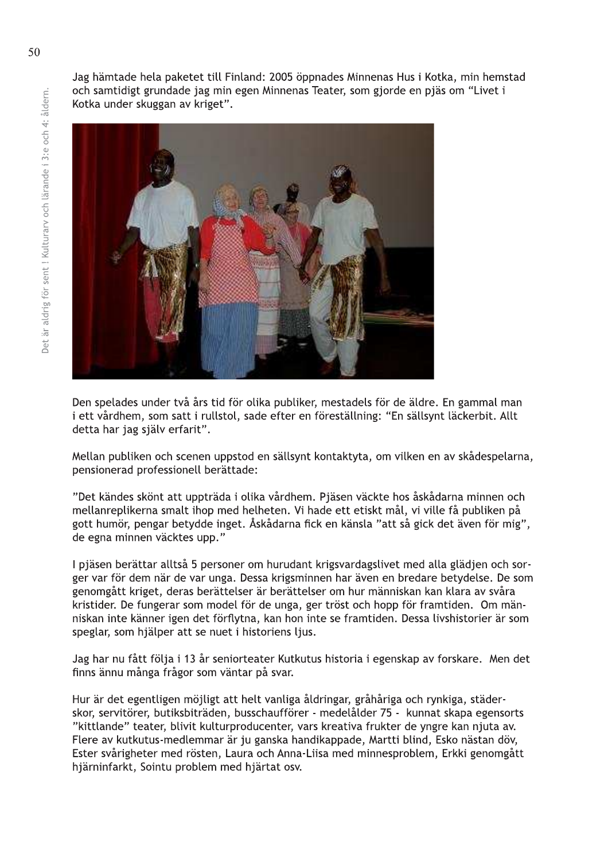Jag hämtade hela paketet till Finland: 2005 öppnades Minnenas Hus i Kotka, min hemstad och samtidigt grundade jag min egen Minnenas Teater, som gjorde en pjäs om "Livet i Kotka under skuggan av kriget".



Den spelades under två års tid för olika publiker, mestadels för de äldre. En gammal man i ett vårdhem, som satt i rullstol, sade efter en föreställning: "En sällsynt läckerbit. Allt detta har jag själv erfarit".

Mellan publiken och scenen uppstod en sällsynt kontaktyta, om vilken en av skådespelarna, pensionerad professionell berättade:

"Det kändes skönt att uppträda i olika vårdhem. Pjäsen väckte hos åskådarna minnen och mellanreplikerna smalt ihop med helheten. Vi hade ett etiskt mål, vi ville få publiken på gott humör, pengar betydde inget. Åskådarna fick en känsla "att så gick det även för mig", de egna minnen väcktes upp."

I pjäsen berättar alltså 5 personer om hurudant krigsvardagslivet med alla glädjen och sorger var för dem när de var unga. Dessa krigsminnen har även en bredare betydelse. De som genomgått kriget, deras berättelser är berättelser om hur människan kan klara av svåra kristider. De fungerar som model för de unga, ger tröst och hopp för framtiden. Om människan inte känner igen det förflytna, kan hon inte se framtiden. Dessa livshistorier är som speglar, som hjälper att se nuet i historiens ljus.

Jag har nu fått följa i 13 år seniorteater Kutkutus historia i egenskap av forskare. Men det finns ännu många frågor som väntar på svar.

Hur är det egentligen möjligt att helt vanliga åldringar, gråhåriga och rynkiga, städerskor, servitörer, butiksbiträden, busschaufförer - medelålder 75 - kunnat skapa egensorts "kittlande" teater, blivit kulturproducenter, vars kreativa frukter de yngre kan njuta av. Flere av kutkutus-medlemmar är ju ganska handikappade, Martti blind, Esko nästan döv, Ester svårigheter med rösten, Laura och Anna-Liisa med minnesproblem, Erkki genomgått hjärninfarkt, Sointu problem med hjärtat osv.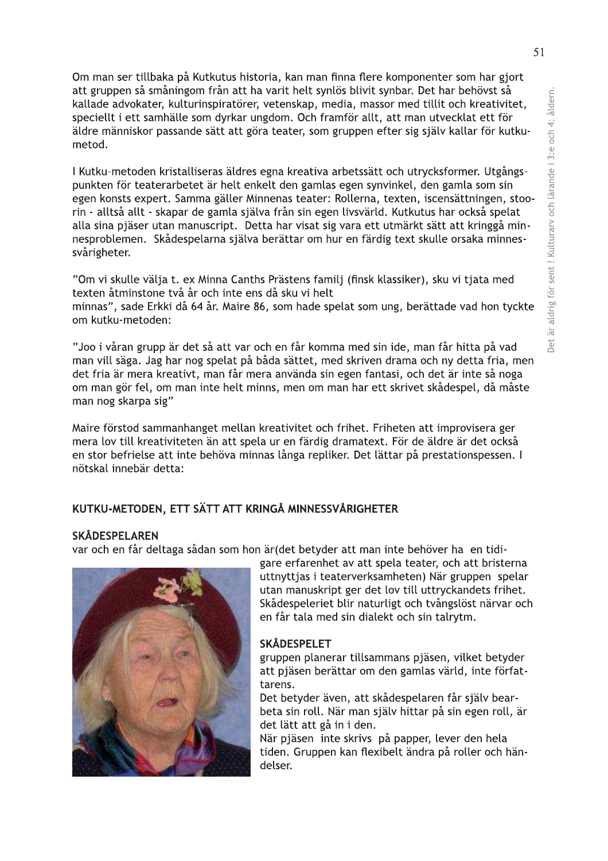Om man ser tillbaka på Kutkutus historia, kan man finna flere komponenter som har gjort att gruppen så småningom från att ha varit helt synlös blivit synbar. Det har behövst så kallade advokater, kulturinspiratörer, vetenskap, media, massor med tillit och kreativitet, speciellt i ett samhälle som dyrkar ungdom. Och framför allt, att man utvecklat ett för äldre människor passande sätt att göra teater, som gruppen efter sig själv kallar för kutkumetod.

I Kutku-metoden kristalliseras äldres egna kreativa arbetssätt och utrycksformer. Utgångspunkten för teaterarbetet är helt enkelt den gamlas egen synvinkel, den gamla som sin egen konsts expert. Samma gäller Minnenas teater: Rollerna, texten, iscensättningen, stoorin - alltså allt - skapar de gamla själva från sin egen livsvärld. Kutkutus har också spelat alla sina pjäser utan manuscript. Detta har visat sig vara ett utmärkt sätt att kringgå minnesproblemen. Skådespelarna själva berättar om hur en färdig text skulle orsaka minnessvårigheter.

"Om vi skulle välja t. ex Minna Canths Prästens familj (finsk klassiker), sku vi tjata med texten åtminstone två år och inte ens då sku vi helt

minnas", sade Erkki då 64 år. Maire 86, som hade spelat som ung, berättade vad hon tyckte om kutku-metoden:

"Joo i våran grupp är det så att var och en får komma med sin ide, man får hitta på vad man vill säga. Jag har nog spelat på båda sättet, med skriven drama och ny detta fria, men det fria är mera kreativt, man får mera använda sin egen fantasi, och det är inte så noga om man gör fel, om man inte helt minns, men om man har ett skrivet skådespel, då måste man nog skarpa sig"

Maire förstod sammanhanget mellan kreativitet och frihet. Friheten att improvisera ger mera lov till kreativiteten än att spela ur en färdig dramatext. För de äldre är det också en stor befrielse att inte behöva minnas långa repliker. Det lättar på prestationspessen. I nötskal innebär detta:

# KUTKU-METODEN, ETT SÄTT ATT KRINGÅ MINNESSVÅRIGHETER

#### **SKÅDESPELAREN**

var och en får deltaga sådan som hon är (det betyder att man inte behöver ha en tidi-



gare erfarenhet av att spela teater, och att bristerna uttnyttjas i teaterverksamheten) När gruppen spelar utan manuskript ger det lov till uttryckandets frihet. Skådespeleriet blir naturligt och tvångslöst närvar och en får tala med sin dialekt och sin talrytm.

#### **SKÅDESPELET**

gruppen planerar tillsammans pjäsen, vilket betyder att pjäsen berättar om den gamlas värld, inte författarens.

Det betyder även, att skådespelaren får själv bearbeta sin roll. När man själv hittar på sin egen roll, är det lätt att gå in i den.

När pjäsen inte skrivs på papper, lever den hela tiden. Gruppen kan flexibelt ändra på roller och händelser.